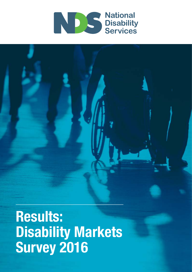

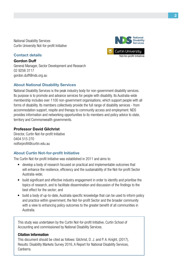National Disability Services Curtin University Not-for-profit Initiative

**Contact details**

#### **National**<br>**Disability** Services **Curtin University** Not-for-profit Initiative

**Gordon Duff** General Manager, Sector Development and Research 02 9256 3117 gordon.duff@nds.org.au

#### **About National Disability Services**

National Disability Services is the peak industry body for non-government disability services. Its purpose is to promote and advance services for people with disability. Its Australia-wide membership includes over 1100 non-government organisations, which support people with all forms of disability. Its members collectively provide the full range of disability services - from accommodation support, respite and therapy to community access and employment. NDS provides information and networking opportunities to its members and policy advice to state, territory and Commonwealth governments.

#### **Professor David Gilchrist**

Director, Curtin Not-for-profit Initiative 0404 515 270 notforprofit@curtin.edu.au

#### **About Curtin Not-for-profit Initiative**

The Curtin Not-for-profit Initiative was established in 2011 and aims to:

- develop a body of research focused on practical and implementable outcomes that will enhance the resilience, efficiency and the sustainability of the Not-for-profit Sector Australia-wide;
- build significant and effective industry engagement in order to identify and prioritise the topics of research, and to facilitate dissemination and discussion of the findings to the best effect for the sector; and
- build a body of up-to-date, Australia specific knowledge that can be used to inform policy and practice within government, the Not-for-profit Sector and the broader community with a view to enhancing policy outcomes to the greater benefit of all communities in Australia.

This study was undertaken by the Curtin Not-for-profit Initiative, Curtin School of Accounting and commissioned by National Disability Services.

#### **Citation Information**

This document should be cited as follows: Gilchrist, D. J. and P. A. Knight, (2017), Results: Disability Markets Survey 2016, A Report for National Disability Services, Canberra.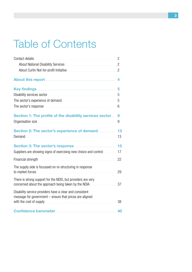# Table of Contents

| Contact details                                                                                                                                | 2              |
|------------------------------------------------------------------------------------------------------------------------------------------------|----------------|
|                                                                                                                                                | 2              |
| About Curtin Not-for-profit Initiative <b>Manual Accord Curtis</b>                                                                             | $\overline{2}$ |
|                                                                                                                                                | 4              |
|                                                                                                                                                | 5              |
|                                                                                                                                                | 5              |
|                                                                                                                                                | 5              |
|                                                                                                                                                | 6              |
| Section 1: The profile of the disability services sector<br>Organisation size                                                                  | 8<br>9         |
| Section 2: The sector's experience of demand<br>Demand                                                                                         | 13<br>13       |
|                                                                                                                                                | 15             |
| Suppliers are showing signs of exercising new choice and control                                                                               | 17             |
|                                                                                                                                                | 22             |
| The supply side is focussed on re-structuring in response<br>to market forces                                                                  | 29             |
| There is strong support for the NDIS, but providers are very<br>concerned about the approach being taken by the NDIA                           | 37             |
| Disability service providers have a clear and consistent<br>message for government - ensure that prices are aligned<br>with the cost of supply | 38             |
|                                                                                                                                                | 40             |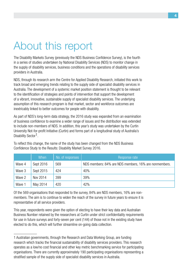## About this report

The Disability Markets Survey (previously the NDS Business Confidence Survey), is the fourth in a series of studies undertaken by National Disability Services (NDS) to monitor change in the supply of disability services, business conditions and the operations of disability services providers in Australia.

NDS, through its research arm the Centre for Applied Disability Research, initiated this work to track broad and emerging trends relating to the supply side of specialist disability services in Australia. The development of a systemic market position statement is thought to be relevant to the identification of strategies and points of intervention that support the development of a vibrant, innovative, sustainable supply of specialist disability services. The underlying assumption of this research program is that market, sector and workforce outcomes are inextricably linked to better outcomes for people with disability.

As part of NDS's long-term data strategy, the 2016 study was expanded from an examination of business confidence to examine a wider range of issues and the distribution was extended to include non-members of NDS. In addition, this year's study was undertaken by the Curtin University Not-for-profit Initiative (Curtin) and forms part of a longitudinal study of Australia's Disability Sector<sup>1</sup>.

|        | When      | No. of responses | Response rate                                         |
|--------|-----------|------------------|-------------------------------------------------------|
| Wave 4 | Sept 2016 | 569              | NDS members: 84% are NDS members, 16% are nonmembers. |
| Wave 3 | Sept 2015 | 424              | 40%                                                   |
| Wave 2 | Nov 2014  | 399              | 39%                                                   |
| Wave 1 | May 2014  | 420              | 42%                                                   |

To reflect this change, the name of the study has been changed from the NDS Business Confidence Study to the Results: Disability Market Survey 2016.

Of the 569 organisations that responded to the survey, 84% are NDS members, 16% are nonmembers. The aim is to continue to widen the reach of the survey in future years to ensure it is representative of all service providers.

This year, respondents were given the option of electing to have their key data and Australian Business Number retained by the researchers at Curtin under strict confidentiality requirements for use in future surveys and forty-seven per cent (144) of those not in the existing study have elected to do this, which will further streamline on-going data collection.

<sup>1</sup> Australian governments, through the Research and Data Working Group, are funding research which tracks the financial sustainability of disability services providers. This research operates as a low/no cost financial and other key metric benchmarking service for participating organisations. There are currently approximately 190 participating organisations representing a stratified sample of the supply side of specialist disability services in Australia.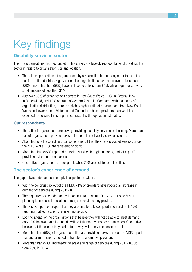# Key findings

#### **Disability services sector**

The 569 organisations that responded to this survey are broadly representative of the disability sector in regard to organisation size and location.

- The relative proportions of organisations by size are like that in many other for-profit or not-for-profit industries. Eighty per cent of organisations have a turnover of less than \$20M, more than half (58%) have an income of less than \$5M, while a quarter are very small (income of less than \$1M).
- Just over 30% of organisations operate in New South Wales, 19% in Victoria, 15% in Queensland, and 10% operate in Western Australia. Compared with estimates of organisation distribution, there is a slightly higher ratio of organisations from New South Wales and lower ratio of Victorian and Queensland based providers than would be expected. Otherwise the sample is consistent with population estimates.

#### **Our respondents**

- The ratio of organisations exclusively providing disability services is declining. More than half of organisations provide services to more than disability services clients.
- About half of all responding organisations report that they have provided services under the NDIS, while 77% are registered to do so.
- More than half (55%) reported providing services in regional areas, and 21% (100) provide services in remote areas.
- One in five organisations are for-profit, while 79% are not-for-profit entities.

#### **The sector's experience of demand**

The gap between demand and supply is expected to widen.

- With the continued rollout of the NDIS, 71% of providers have noticed an increase in demand for services during 2015-16.
- Three quarters expect demand will continue to grow into 2016-17 but only 60% are planning to increase the scale and range of services they provide.
- Thirty-seven per cent report that they are unable to keep up with demand, with 10% reporting that some clients received no service.
- Looking ahead, of the organisations that believe they will not be able to meet demand, only 13% believe that client needs will be fully met by another organisation. One in five believe that the clients they had to turn away will receive no services at all.
- More than half (58%) of organisations that are providing services under the NDIS report that one or more clients elected to transfer to alternative providers.
- More than half (53%) increased the scale and range of services during 2015-16, up from 25% in 2014.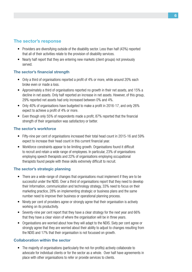#### **The sector's response**

- Providers are diversifying outside of the disability sector. Less than half (43%) reported that all of their activities relate to the provision of disability services.
- Nearly half report that they are entering new markets (client groups) not previously served.

#### **The sector's financial strength**

- Only a third of organisations reported a profit of 4% or more, while around 20% each broke even or made a loss.
- Approximately a third of organisations reported no growth in their net assets, and 15% a decline in net assets. Only half reported an increase in net assets. However, of this group, 29% reported net assets had only increased between 0% and 4%.
- Only 40% of organisations have budgeted to make a profit in 2016-17, and only 26% expect to achieve a profit of 4% or more.
- Even though only 55% of respondents made a profit, 87% reported that the financial strength of their organisation was satisfactory or better.

#### **The sector's workforce**

- Fifty-nine per cent of organisations increased their total head count in 2015-16 and 59% expect to increase their head count in this current financial year.
- Workforce constraints appear to be limiting growth. Organisations found it difficult to recruit and retain a wide range of employees. In particular, 23% of organisations employing speech therapists and 22% of organisations employing occupational therapists found people with these skills extremely difficult to recruit.

#### **The sector's strategic planning**

- There are a wide-range of changes that organisations must implement if they are to be successful under the NDIS. Over a third of organisations report that they need to develop their Information, communication and technology strategy, 33% need to focus on their marketing practice, 28% on implementing strategic or business plans and the same number need to improve their business or operational planning process.
- Ninety per cent of providers agree or strongly agree that their organisation is actively working on its productivity.
- Seventy-nine per cent report that they have a clear strategy for the next year and 66% that they have a clear vision of where the organisation will be in three years.
- Organisations are worried about how they will adapt to the NDIS. Sixty per cent agree or strongly agree that they are worried about their ability to adjust to changes resulting from the NDIS and 17% that their organisation is not focussed on growth.

#### **Collaboration within the sector**

• The majority of organisations (particularly the not-for-profits) actively collaborate to advocate for individual clients or for the sector as a whole. Over half have agreements in place with other organisations to refer or provide services to clients.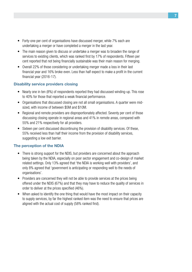- Forty-one per cent of organisations have discussed merger, while 7% each are undertaking a merger or have completed a merger in the last year.
- The main reason given to discuss or undertake a merger was to broaden the range of services to existing clients, which was ranked first by 17% of respondents. Fifteen per cent reported that not being financially sustainable was their main reason for merging.
- Overall 22% of those considering or undertaking merger made a loss in their last financial year and 16% broke even. Less than half expect to make a profit in the current financial year (2016-17).

#### **Disability service providers closing**

- Nearly one in ten (8%) of respondents reported they had discussed winding-up. This rose to 40% for those that reported a weak financial performance.
- Organisations that discussed closing are not all small organisations. A quarter were midsized, with income of between \$5M and \$10M.
- Regional and remote providers are disproportionately affected. Seventy per cent of those discussing closing operate in regional areas and 41% in remote areas, compared with 55% and 21% respectively for all providers.
- Sixteen per cent discussed discontinuing the provision of disability services. Of these, 55% received less than half their income from the provision of disability services, suggesting a low exit barrier.

#### **The perception of the NDIA**

- There is strong support for the NDIS, but providers are concerned about the approach being taken by the NDIA, especially on poor sector engagement and co-design of market related settings. Only 13% agreed that 'the NDIA is working well with providers', and only 8% agreed that 'government is anticipating or responding well to the needs of organisations'.
- Providers are concerned they will not be able to provide services at the prices being offered under the NDIS (67%) and that they may have to reduce the quality of services in order to deliver at the prices specified (46%).
- When asked to identify the one thing that would have the most impact on their capacity to supply services, by far the highest ranked item was the need to ensure that prices are aligned with the actual cost of supply (58% ranked first).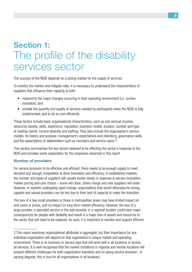### **Section 1:**  The profile of the disability services sector

The success of the NDIS depends on a strong market for the supply of services.

To monitor the market and mitigate risks, it is necessary to understand the characteristics of suppliers that influence their capacity to both:

- respond to the major changes occurring in their operating environment (i.e. survive transition); and
- provide the quantity and quality of services needed by participants when the NDIS is fully implemented, and to do so cost efficiently.

These factors include basic organisational characteristics, such as size (annual income), resources (assets, skills, experience, reputation, business model), location, number and type of existing clients, income diversity and staffing. They also include the organisation's service models, its history and purpose, management's expectations and intentions, governance skills, and the expectations of stakeholders such as members and service users 2.

This section summarises the key factors believed to be affecting the sector's response to the NDIS and provides some explanation for the responses observed in this report.

#### **Number of providers**

For service provision to be effective and efficient, there needs to be enough supply to meet demand and enough competition to drive innovation and efficiency. In established markets, the number and types of suppliers will usually evolve slowly in response to service innovation, market pricing and user choice – some will close, others merge and new suppliers will enter. However, in markets undergoing rapid change, organisations that would otherwise be strong, capable and valued providers can be lost due to their lack of capacity to make the transition.

The loss of a few small providers or those in metropolitan areas may have limited impact on end-users or prices, and no impact on long-term market efficiency. However, the loss of a large provider, a specialist service or the sole provider in a regional location could have major consequences for people with disability and result in a major loss of assets and resources to the sector that will need to be replaced. As such, it is important to monitor and support efficient

<sup>2</sup> This report examines organisational attributes in aggregate, but their importance for any individual organisation will depend on that organisation's unique market and operating environment. There is no business or service type that will work well in all locations or across all services. It is well recognised that the market conditions in regional and remote locations will present different challenges for both organisation transition and on-going service provision. In varying degrees, this is true for all organisations in all locations.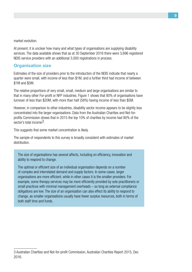market evolution.

At present, it is unclear how many and what types of organisations are supplying disability services. The data available shows that as at 30 September 2016 there were 3,696 registered NDIS service providers with an additional 3,000 registrations in process.

#### **Organisation size**

Estimates of the size of providers prior to the introduction of the NDIS indicate that nearly a quarter were small, with income of less than \$1M, and a further third had income of between \$1M and \$5M.

The relative proportions of very small, small, medium and large organisations are similar to that in many other For-profit or NFP industries. Figure 1 shows that 80% of organisations have turnover of less than \$20M, with more than half (58%) having income of less than \$5M.

However, in comparison to other industries, disability sector income appears to be slightly less concentrated into the larger organisations. Data from the Australian Charities and Not-forprofits Commission shows that in 2015 the top 10% of charities by income had 90% of the sector's total income3.

This suggests that some market concentration is likely.

The sample of respondents to this survey is broadly consistent with estimates of market distribution.

The size of organisations has several affects, including on efficiency, innovation and ability to respond to change.

The optimal or efficient size of an individual organisation depends on a number of complex and interrelated demand and supply factors. In some cases, larger organisations are more efficient, while in other cases it is the smaller providers. For example, some therapy services may be more efficiently provided by sole practitioners or small practices with minimal management overheads – so long as external compliance obligations are low. The size of an organisation can also effect its ability to respond to change, as smaller organisations usually have fewer surplus resources, both in terms of both staff time and funds.

<sup>3</sup> Australian Charities and Not-for-profit Commission, Australian Charities Report 2015, Dec 2016.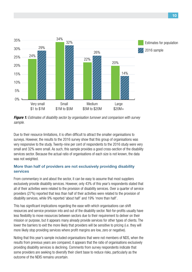

*Figure 1: Estimates of disability sector by organisation turnover and comparison with survey sample.*

Due to their resource limitations, it is often difficult to attract the smaller organisations to surveys. However, the results to the 2016 survey show that this group of organisations was very responsive to the study. Twenty-nine per cent of respondents to the 2016 study were very small and 32% were small. As such, this sample provides a good cross-section of the disability services sector. Because the actual ratio of organisations of each size is not known, the data was not weighted.

#### **More than half of providers are not exclusively providing disability services**

From commentary in and about the sector, it can be easy to assume that most suppliers exclusively provide disability services. However, only 43% of this year's respondents stated that all of their activities were related to the provision of disability services. Over a quarter of service providers (27%) reported that less than half of their activities were related to the provision of disability services, while 9% reported 'about half' and 19% 'more than half'.

This has significant implications regarding the ease with which organisations can shift resources and service provision into and out of the disability sector. Not-for-profits usually have less flexibility to move resources between sectors due to their requirement to deliver on their mission or purpose, but it appears many already provide services for other types of clients. The lower the barriers to exit the more likely that providers will be sensitive to pricing (i.e. they will more likely stop providing services where profit margins are low, zero or negative).

Noting that this year's sample included organisations that were not members of NDS, when the results from previous years are compared, it appears that the ratio of organisations exclusively providing disability services is declining. Comments from survey respondents indicate that some providers are seeking to diversify their client base to reduce risks, particularly as the outcome of the NDIS remains uncertain.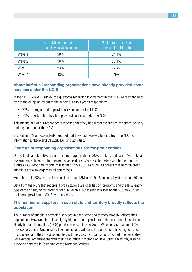|        | All activities relate to the<br>disability services sector | Registered to provide<br>services in a trial site |
|--------|------------------------------------------------------------|---------------------------------------------------|
| Wave 1 | 59%                                                        | 24.1%                                             |
| Wave 2 | 56%                                                        | 33.1%                                             |
| Wave 3 | 53%                                                        | 37.4%                                             |
| Wave 4 | 43%                                                        | N/A                                               |

#### **About half of all responding organisations have already provided some services under the NDIS**

In the 2016 (Wave 4) survey, the questions regarding involvement in the NDIS were changed to reflect the on-going rollout of the scheme. Of this year's respondents:

- 77% are registered to provide services under the NDIS
- 51% reported that they had provided services under the NDIS

This means half of our respondents reported that they had direct experience of service delivery and payment under the NDIS.

In addition, 6% of respondents reported that they had received funding from the NDIA for Information Linkage and Capacity Building activities.

#### **One fifth of responding organisations are for-profit entities**

Of the total sample, 79% are not-for-profit organisations, 20% are for-profits and 1% are local government entities. Of the for-profit organisations, 5% are sole traders and half of the forprofits (48%) reported income of less than \$250,000. As such, it appears that new for-profit suppliers are also largely small enterprises.

More than half (53%) had an income of less than \$3M in 2015-16 and employed less than 50 staff.

Data from the NDIS that records if organisations are charities or for-profits and the legal entity type of the charity or for-profit is not fully reliable, but it suggests that about 60% to 70% of registered providers in 2016 were charities.

#### **The number of suppliers in each state and territory broadly reflects the population**

The number of suppliers providing services in each state and territory broadly reflects their populations. However, there is a slightly higher ratio of providers in the more populous states. Nearly half of all suppliers (47%) provide services in New South Wales or Victoria, and 15% provide services in Queensland. The jurisdictions with smaller populations have higher ratios of suppliers, and they are also supplied with services by organisations located in other states. For example, organisations with their head office in Victoria or New South Wales may also be providing services in Tasmania or the Northern Territory.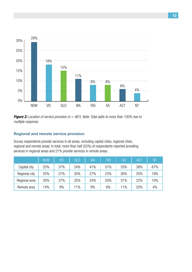

*Figure 2: Location of service provision (n = 467). Note: Total adds to more than 100% due to multiple response.*

#### **Regional and remote service provision**

Survey respondents provide services in all areas, including capital cities, regional cities, regional and remote areas. In total, more than half (55%) of respondents reported providing services in regional areas and 21% provide services in remote areas.

|               | <b>NSW</b> | <b>VIC</b> | QLD | WA  | <b>TAS</b> | <b>SA</b> | <b>ACT</b> | N <sub>1</sub> |
|---------------|------------|------------|-----|-----|------------|-----------|------------|----------------|
| Capital city  | 25%        | 37%        | 24% | 41% | 51%        | 33%       | 38%        | 67%            |
| Regional city | 25%        | 27%        | 30% | 27% | 23%        | 26%       | 20%        | 19%            |
| Regional area | 35%        | 27%        | 35% | 24% | 20%        | 31%       | 22%        | 10%            |
| Remote area   | 14%        | 9%         | 11% | 9%  | 6%         | 11%       | 20%        | 4%             |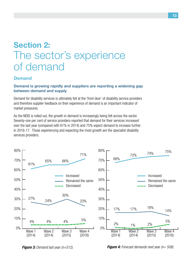### **Section 2:** The sector's experience of demand

#### **Demand**

#### **Demand is growing rapidly and suppliers are reporting a widening gap between demand and supply**

Demand for disability services is ultimately felt at the 'front door' of disability service providers and therefore supplier feedback on their experience of demand is an important indicator of market pressures.

As the NDIS is rolled out, the growth in demand is increasingly being felt across the sector. Seventy-one per cent of service providers reported that demand for their services increased over the last year (compared with 61% in 2014) and 75% expect demand to increase further in 2016-17. Those experiencing and expecting the most growth are the specialist disability services providers.



*Figure 3: Demand last year (n=512).*

*Figure 4: Forecast demands next year (n= 508).*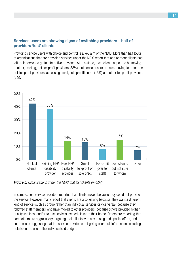#### **Services users are showing signs of switching providers – half of providers 'lost' clients**

Providing service users with choice and control is a key aim of the NDIS. More than half (58%) of organisations that are providing services under the NDIS report that one or more clients had left their service to go to alternative providers. At this stage, most clients appear to be moving to other, existing, not-for-profit providers (38%), but service users are also moving to other new not-for-profit providers, accessing small, sole practitioners (13%) and other for-profit providers  $(8\%)$ .



*Figure 5: Organisations under the NDIS that lost clients (n=237).*

In some cases, service providers reported that clients moved because they could not provide the service. However, many report that clients are also leaving because: they want a different kind of service (such as group rather than individual services or vice versa); because they followed staff members who have moved to other providers; because others provided higher quality services; and/or to use services located closer to their home. Others are reporting that competitors are aggressively targeting their clients with advertising and special offers, and in some cases suggesting that the service provider is not giving users full information, including details on the use of the individualised budget.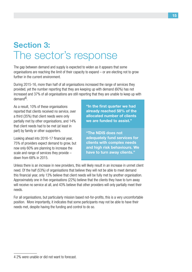### **Section 3:**  The sector's response

The gap between demand and supply is expected to widen as it appears that some organisations are reaching the limit of their capacity to expand – or are electing not to grow further in the current environment.

During 2015-16, more than half of all organisations increased the range of services they provided, yet the number reporting that they are keeping up with demand (60%) has not increased and 37% of all organisations are still reporting that they are unable to keep up with demand4.

As a result, 10% of these organisations reported that clients received no service, over a third (35%) that client needs were only partially met by other organisations, and 14% that client needs had to be met (at least in part) by family or other supporters.

Looking ahead into 2016-17 financial year, 75% of providers expect demand to grow, but now only 60% are planning to increase the scale and range of services they provide – down from 68% in 2015.

**"In the first quarter we had already reached 58% of the allocated number of clients we are funded to assist."**

**"The NDIS does not adequately fund services for clients with complex needs and high risk behaviours. We have to turn away clients."**

Unless there is an increase in new providers, this will likely result in an increase in unmet client need. Of the half (53%) of organisations that believe they will not be able to meet demand this financial year, only 13% believe that client needs will be fully met by another organisation. Approximately one in five organisations (22%) believe that the clients they have to turn away will receive no service at all, and 43% believe that other providers will only partially meet their needs.

For all organisations, but particularly mission based not-for-profits, this is a very uncomfortable position. More importantly, it indicates that some participants may not be able to have their needs met, despite having the funding and control to do so.

<sup>4 2%</sup> were unable or did not want to forecast.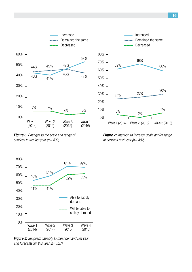

*Figure 6: Changes to the scale and range of services in the last year (n= 492).*



*Figure 7: Intention to increase scale and/or range of services next year (n= 492).*



*Figure 8: Suppliers capacity to meet demand last year and forecasts for this year (n= 527).*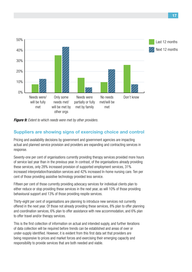

*Figure 9: Extent to which needs were met by other providers.*

#### **Suppliers are showing signs of exercising choice and control**

Pricing and availability decisions by government and government agencies are impacting actual and planned service provision and providers are expanding and contracting services in response.

Seventy-one per cent of organisations currently providing therapy services provided more hours of service last year than in the previous year. In contrast, of the organisations already providing these services, only 28% increased provision of supported employment services, 31% increased interpretation/translation services and 42% increased In-home nursing care. Ten per cent of those providing assistive technology provided less service.

Fifteen per cent of those currently providing advocacy services for individual clients plan to either reduce or stop providing these services in the next year, as will 10% of those providing behavioural support and 13% of those providing respite services.

Thirty-eight per cent of organisations are planning to introduce new services not currently offered in the next year. Of those not already providing these services, 8% plan to offer planning and coordination services, 6% plan to offer assistance with new accommodation, and 6% plan to offer travel and/or therapy services.

This is the first collection of information on actual and intended supply, and further iterations of data collection will be required before trends can be established and areas of over or under-supply identified. However, it is evident from this first data set that providers are being responsive to prices and market forces and exercising their emerging capacity and responsibility to provide services that are both needed and viable.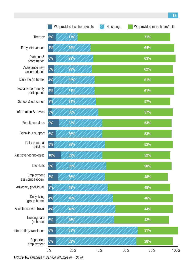

*Figure 10: Changes in service volumes (n = 31+).*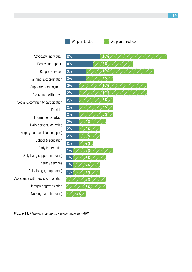



We plan to stop  $\mathbb{Z}$  We plan to reduce

Advocacy (individual) Behaviour support Respite services Planning & coordination Supported employment Assistance with travel Social & community participation Life skills Information & advice Daily personal activities Employment assistance (open) School & education Early intervention Daily living support (in home) Therapy services Daily living (group home) Assistance with new sccomodation Interpreting/translation Nursing care (in home)



*Figure 11: Planned changes to service range (n =468).*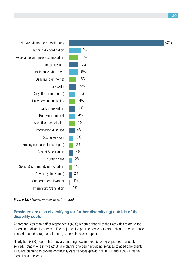

*Figure 12: Planned new services (n = 468).*

#### **Providers are also diversifying (or further diversifying) outside of the disability sector**

At present, less than half of respondents (43%) reported that all of their activities relate to the provision of disability services. The majority also provide services to other clients, such as those in need of aged care, mental health, or homelessness support.

Nearly half (48%) report that they are entering new markets (client groups) not previously served. Notably, one in five (21%) are planning to begin providing services to aged care clients, 17% are planning to provide community care services (previously HACC) and 13% will serve mental health clients.

**20**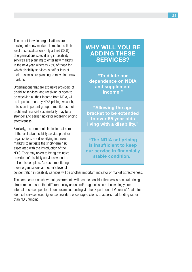The extent to which organisations are moving into new markets is related to their level of specialisation. Only a third (33%) of organisations specialising in disability services are planning to enter new markets in the next year, whereas 75% of those for which disability services is half or less of their business are planning to move into new markets.

Organisations that are exclusive providers of disability services, and receiving or soon to be receiving all their income from NDIA, will be impacted more by NDIS pricing. As such, this is an important group to monitor as their profit and financial sustainability may be a stronger and earlier indicator regarding pricing effectiveness.

Similarly, the comments indicate that some of the exclusive disability service provider organisations are diversifying into new markets to mitigate the short-term risk associated with the introduction of the NDIS. They may revert to being exclusive providers of disability services when the roll-out is complete. As such, monitoring these organisations and other's level of

#### **WHY WILL YOU BE ADDING THESE SERVICES?**

**"To dilute our dependence on NDIA and supplement income."**

**"Allowing the age bracket to be extended to over 65 year olds living with a disability."**

**"The NDIA set pricing is insufficient to keep our service in financially stable condition."**

concentration in disability services will be another important indicator of market attractiveness.

The comments also show that governments will need to consider their cross-sectoral pricing structures to ensure that different policy areas and/or agencies do not unwittingly create internal price competition. In one example, funding via the Department of Veterans' Affairs for identical services was higher, so providers encouraged clients to access that funding rather than NDIS funding.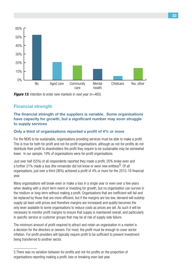

*Figure 13: Intention to enter new markets in next year (n=465).*

#### **Financial strength**

#### **The financial strength of the suppliers is variable. Some organisations have capacity for growth, but a significant number may soon struggle to supply services**

#### **Only a third of organisations reported a profit of 4% or more**

For the NDIS to be sustainable, organisations providing services must be able to make a profit. This is true for both for-profit and not-for-profit organisations, although as not-for-profits do not distribute their profit to shareholders the profit they require to be sustainable may be somewhat lower. In our sample, 19% of organisations were for-profit organisations.

Just over half (55%) of all respondents reported they made a profit, 20% broke even and a further 21% made a loss (the remainder did not know or were new entities)<sup>5</sup>. Of all organisations, just over a third (36%) achieved a profit of 4% or more for the 2015-16 financial year.

Many organisations will break-even or make a loss in a single year or even over a few years when dealing with a short-term event or investing for growth, but no organisation can survive in the medium or long-term without making a profit. Organisations that are inefficient will fail and be replaced by those that are more efficient, but if the margins are too low, demand will outstrip supply (at least until prices and therefore margins are increased) and quality becomes the only lever available to some organisations to reduce costs as prices are set. As such it will be necessary to monitor profit margins to ensure that supply is maintained overall, and particularly in specific service or customer groups that may be at risk of supply side failure.

The minimum amount of profit required to attract and retain an organisation in a market is a decision for the directors or owners. For most, the profit must be enough to cover sector inflation. For-profit providers will typically require profit to be sufficient to prevent investment being transferred to another sector.

<sup>5</sup> There was no variation between for-profits and not-for-profits on the proportion of organisations reporting making a profit, loss or breaking even last year.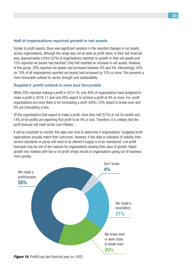#### **Half of organisations reported growth in net assets**

Similar to profit reports, there was significant variation in the reported changes in net assets across organisations, although the range was not as wide as profit ratios. In their last financial year, approximately a third (32%) of organisations reported no growth in their net assets and 15% reported net assets had declined. Only half reported an increase in net assets. However, of this group, 29% reported net assets had increased between 0% and 4%. Interestingly, 42% (or 19% of all respondents) reported net assets had increased by 10% or more. This presents a more favourable outlook for sector strength and sustainability.

#### **Suppliers' profit outlook is even less favourable**

While 55% reported making a profit in 2015-16, only 40% of organisations have budgeted to make a profit in 2016-17 and only 26% expect to achieve a profit of 4% or more. For- profit organisations are more likely to be forecasting a profit (58%); 23% expect to break-even and 8% are forecasting a loss.

Of the organisations that expect to make a profit, more than half (51%) of not-for-profits and 14% of for-profits are expecting that profit to be 4% or less. Therefore, it is unlikely that the profit forecast will meet sector cost inflation.

It will be important to monitor this data over time to determine if organisations' budgeted profit expectations actually match their outcomes. However, if this data is indicative of viability, then service standards or prices will need to be altered if supply is to be maintained. Low profit forecasts may be one of the reasons for organisations slowing their pace of growth. Rapid growth into markets with low or no profit simply results in organisations going out of business more quickly.



*Figure 14: Profit/Loss last financial year (n= 502).*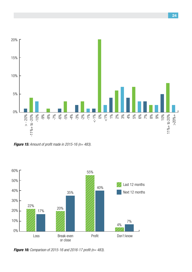



*Figure 16: Comparison of 2015-16 and 2016-17 profit (n= 483).*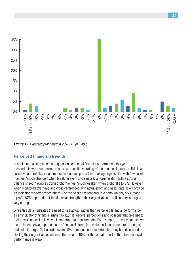

*Figure 17: Expected profit margin 2016-17 (n= 483).*

#### **Perceived financial strength**

In addition to asking a series of questions on actual financial performance, this year respondents were also asked to provide a qualitative rating of their financial strength. This is a collective and relative measure, as the leadership of a loss-making organisation with few assets may feel 'much stronger' when breaking even, and similarly an organisation with a strong balance sheet making a strong profit may feel 'much weaker' when profit falls to 5%. However, when monitored over time and cross-referenced with actual profit and asset data, it will provide an indicator of sector expectations. For this year's respondents, even though only 55% made a profit, 87% reported that the financial strength of their organisation is satisfactory, strong or very strong. performance is weak.<br>  $\frac{1}{2}$ <br> **Figure 17:** Expected<br> **Perceived finance**<br>
In addition to asking a<br>
respondents were also<br>
collective and relative<br>
may feel 'much strong<br>
balance sheet making<br>
when monitored over the an

While this data illustrates the need to use actual, rather than perceived financial performance as an indicator of financial sustainability, it is leaders' perceptions and opinions that give rise to their decisions, which is why it is important to measure both. For example, the early data shows a correlation between perceptions of financial strength and discussions on closure or merger, and actual merger. To illustrate, overall 8% of respondents reported that they had discussed closing their organisation, whereas this rose to 40% for those that reported that their financial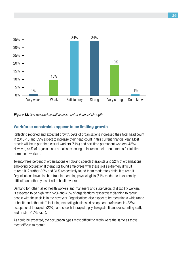

*Figure 18: Self reported overall assessment of financial strength.*

#### **Workforce constraints appear to be limiting growth**

Reflecting reported and expected growth, 59% of organisations increased their total head count in 2015-16 and 59% expect to increase their head count in this current financial year. Most growth will be in part time casual workers (51%) and part time permanent workers (42%). However, 44% of organisations are also expecting to increase their requirements for full time permanent workers.

Twenty-three percent of organisations employing speech therapists and 22% of organisations employing occupational therapists found employees with these skills extremely difficult to recruit. A further 32% and 31% respectively found them moderately difficult to recruit. Organisations have also had trouble recruiting psychologists (51% moderate to extremely difficult) and other types of allied health workers.

Demand for 'other' allied health workers and managers and supervisors of disability workers is expected to be high, with 52% and 43% of organisations respectively planning to recruit people with these skills in the next year. Organisations also expect to be recruiting a wide range of health and other staff, including marketing/business development professionals (22%), occupational therapists (22%), and speech therapists, psychologists, finance/accounting staff, and hr staff (17% each).

As could be expected, the occupation types most difficult to retain were the same as those most difficult to recruit.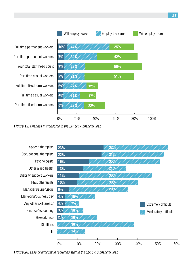![](_page_26_Figure_0.jpeg)

*Figure 19: Changes in workforce in the 2016/17 financial year.* 

![](_page_26_Figure_2.jpeg)

*Figure 20: Ease or difficulty in recruiting staff in the 2015-16 financial year.*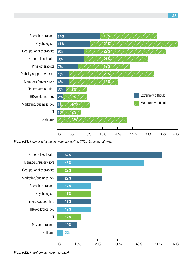![](_page_27_Figure_0.jpeg)

*Figure 21: Ease or difficulty in retaining staff in 2015-16 financial year.*

![](_page_27_Figure_2.jpeg)

*Figure 22: Intentions to recruit (n=305).*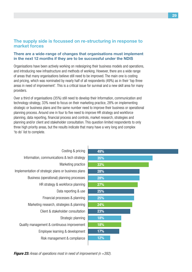#### **The supply side is focussed on re-structuring in response to market forces**

#### **There are a wide-range of changes that organisations must implement in the next 12 months if they are to be successful under the NDIS**

Organisations have been actively working on redesigning their business models and operations, and introducing new infrastructure and methods of working. However, there are a wide range of areas that many organisations believe still need to be improved. The main one is costing and pricing, which was nominated by nearly half of all respondents (49%) as in their 'top three areas in need of improvement'. This is a critical issue for survival and a new skill area for many providers.

Over a third of organisations (35%) still need to develop their Information, communication and technology strategy, 33% need to focus on their marketing practice, 28% on implementing strategic or business plans and the same number need to improve their business or operational planning process. Around one in four to five need to improve HR strategy and workforce planning, data reporting, financial process and controls, market research, strategies and planning and/or client and stakeholder consultation. This question limited respondents to only three high priority areas, but the results indicate that many have a very long and complex 'to do' list to complete.

| Costing & pricing                                   | 49%        |
|-----------------------------------------------------|------------|
| Information, communications & tech strategy         | 35%        |
| Marketing practice                                  | 33%        |
| Implementation of strategic plans or business plans | 28%        |
| Business (operational) planning processes           | 28%        |
| HR strategy & workforce planning                    | <b>27%</b> |
| Data reporting & use                                | 25%        |
| Financial processes & planning                      | 25%        |
| Marketing research, strategies & planning           | 24%        |
| Client & stakeholder consultation                   | 23%        |
| Strategic planning                                  | 18%        |
| Quality management & continuous improvement         | 18%        |
| Employee learning & development                     | 17%        |
| Risk management & compliance                        | 12%        |

*Figure 23: Areas of operations most in need of improvement (n =392).*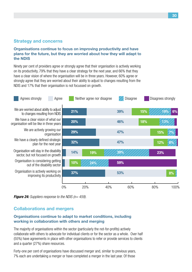#### **Strategy and concerns**

#### **Organisations continue to focus on improving productivity and have plans for the future, but they are worried about how they will adapt to the NDIS**

Ninety per cent of providers agree or strongly agree that their organisation is actively working on its productivity, 79% that they have a clear strategy for the next year, and 66% that they have a clear vision of where the organisation will be in three years. However, 60% agree or strongly agree that they are worried about their ability to adjust to changes resulting from the NDIS and 17% that their organisation is not focussed on growth.

![](_page_29_Figure_3.jpeg)

*Figure 24: Suppliers response to the NDIS (n= 459).*

#### **Collaborations and mergers**

#### **Organisations continue to adapt to market conditions, including working in collaboration with others and merging**

The majority of organisations within the sector (particularly the not-for-profits) actively collaborate with others to advocate for individual clients or for the sector as a whole. Over half (55%) have agreements in place with other organisations to refer or provide services to clients and a quarter (27%) share resources.

Forty-one per cent of organisations have discussed merger and, similar to previous years, 7% each are undertaking a merger or have completed a merger in the last year. Of those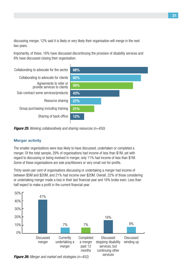discussing merger, 12% said it is likely or very likely their organisation will merge in the next two years.

Importantly, of these, 16% have discussed discontinuing the provision of disability services and 8% have discussed closing their organisation.

![](_page_30_Figure_2.jpeg)

*Figure 25: Working collaboratively and sharing resources (n=450).*

#### **Merger activity**

The smaller organisations were less likely to have discussed, undertaken or completed a merger. Of the total sample, 29% of organisations had income of less than \$1M, yet with regard to discussing or being involved in merger, only 11% had income of less than \$1M. Some of these organisations are sole practitioners or very small not-for-profits.

Thirty-seven per cent of organisations discussing or undertaking a merger had income of between \$5M and \$20M, and 21% had income over \$20M. Overall, 22% of those considering or undertaking merger made a loss in their last financial year and 16% broke even. Less than half expect to make a profit in the current financial year.

![](_page_30_Figure_7.jpeg)

*Figure 26: Merger and market exit strategies (n=452).*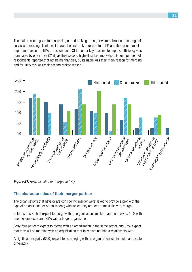The main reasons given for discussing or undertaking a merger were to broaden the range of services to existing clients, which was the first ranked reason for 17% and the second most important reason for 19% of respondents. Of the other key reasons, to improve efficiency was nominated by one in five (21%) as their second highest ranked motivation. Fifteen per cent of respondents reported that not being financially sustainable was their main reason for merging, and for 10% this was their second ranked reason.

![](_page_31_Figure_1.jpeg)

*Figure 27: Reasons cited for merger activity.*

#### **The characteristics of their merger partner**

The organisations that have or are considering merger were asked to provide a profile of the type of organisation (or organisations) with which they are, or are most likely to, merge.

In terms of size, half expect to merge with an organisation smaller than themselves, 16% with one the same size and 28% with a larger organisation.

Forty-four per cent expect to merge with an organisation in the same sector, and 37% expect that they will be merging with an organisation that they have not had a relationship with.

A significant majority (83%) expect to be merging with an organisation within their same state or territory.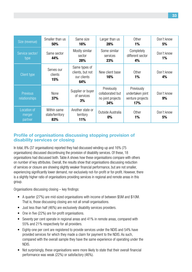| Size (revenue)                   | Smaller than us<br>50%                | Same size<br>16%                                        | Larger than us<br>28%                                      | Other<br>1%                                               | Don't know<br>5% |
|----------------------------------|---------------------------------------|---------------------------------------------------------|------------------------------------------------------------|-----------------------------------------------------------|------------------|
| Service sector/<br>type          | Same sector<br>44%                    | Mostly similar<br>sector<br>28%                         | Some similar<br>services<br>23%                            | Completely<br>different sector<br>4%                      | Don't know<br>1% |
| <b>Client type</b>               | Serves our<br>clients<br>15%          | Same types of<br>clients, but not<br>our clients<br>64% | New client base<br>16%                                     | Other<br>1%                                               | Don't know<br>4% |
| <b>Previous</b><br>relationships | None<br>37%                           | Supplier or buyer<br>of services<br>3%                  | Previously<br>collaborated but<br>no joint projects<br>34% | Previously<br>undertaken joint<br>venture projects<br>17% | Don't know<br>9% |
| Location of<br>merger<br>partner | Within same<br>state/territory<br>83% | Another state or<br>territory<br>11%                    | Outside Australia<br>0%                                    | Other<br>1%                                               | Don't know<br>5% |

#### **Profile of organisations discussing stopping provision of disability services or closing**

In total, 8% (37 organisations) reported they had discussed winding-up and 16% (75 organisations) discussed discontinuing the provision of disability services. Of these, 18 organisations had discussed both. Table A shows how these organisations compare with others on number of key attributes. Overall, the results show that organisations discussing reduction of services or closure are showing slightly weaker financial performance, but are not smaller, experiencing significantly lower demand, nor exclusively not-for-profit or for-profit. However, there is a slightly higher ratio of organisations providing services in regional and remote areas in this group.

Organisations discussing closing – key findings:

- A quarter (27%) are mid-sized organisations with income of between \$5M and \$10M. That is, those discussing closing are not all small organisations.
- Just less than half (46%) are exclusively disability services providers.
- One in five (22%) are for-profit organisations.
- Seventy per cent operate in regional areas and 41% in remote areas, compared with 55% and 21% respectively for all providers.
- Eighty-one per cent are registered to provide services under the NDIS and 54% have provided services for which they made a claim for payment to the NDIS. As such, compared with the overall sample they have the same experience of operating under the NDIS.
- Not surprisingly, these organisations were more likely to state that their overall financial performance was weak (22%) or satisfactory (46%).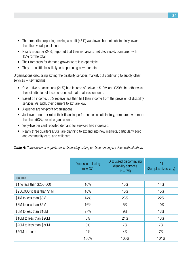- The proportion reporting making a profit (46%) was lower, but not substantially lower than the overall population.
- Nearly a quarter (24%) reported that their net assets had decreased, compared with 15% for the total.
- Their forecasts for demand growth were less optimistic.
- They are a little less likely to be pursuing new markets.

Organisations discussing exiting the disability services market, but continuing to supply other services – Key findings:

- One in five organisations (21%) had income of between \$10M and \$20M, but otherwise their distribution of income reflected that of all respondents.
- Based on income, 55% receive less than half their income from the provision of disability services. As such, their barriers to exit are low.
- • A quarter are for-profit organisations
- Just over a quarter rated their financial performance as satisfactory, compared with more than half (53%) for all organisations.
- Sixty-five per cent reported demand for services had increased.
- Nearly three quarters (73%) are planning to expand into new markets, particularly aged and community care, and childcare.

*Table A: Comparison of organisations discussing exiting or discontinuing services with all others.*

|                             | Discussed discontinuing<br>Discussed closing<br>disability services<br>$(n = 37)$<br>$(n = 75)$ |      | All<br>(Samples sizes vary) |
|-----------------------------|-------------------------------------------------------------------------------------------------|------|-----------------------------|
| Income                      |                                                                                                 |      |                             |
| \$1 to less than \$250,000  | 16%                                                                                             | 15%  | 14%                         |
| \$250,000 to less than \$1M | 16%                                                                                             | 16%  | 15%                         |
| \$1M to less than \$3M      | 14%                                                                                             | 23%  | 22%                         |
| \$3M to less than \$5M      | 16%                                                                                             | 5%   | 10%                         |
| \$5M to less than \$10M     | 27%                                                                                             | 9%   | 13%                         |
| \$10M to less than \$20M    | 8%                                                                                              | 21%  | 13%                         |
| \$20M to less than \$50M    | 3%                                                                                              | 7%   | 7%                          |
| \$50M or more               | $0\%$                                                                                           | 4%   | 7%                          |
|                             | 100%                                                                                            | 100% | 101%                        |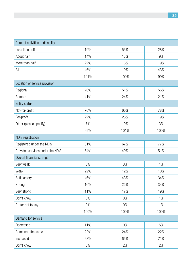| Percent activities in disability |       |       |       |
|----------------------------------|-------|-------|-------|
| Less than half                   | 19%   | 55%   | 28%   |
| About half                       | 14%   | 13%   | 9%    |
| More than half                   | 22%   | 13%   | 19%   |
| All                              | 46%   | 19%   | 43%   |
|                                  | 101%  | 100%  | 99%   |
| Location of service provision    |       |       |       |
| Regional                         | 70%   | 51%   | 55%   |
| Remote                           | 41%   | 24%   | 21%   |
| Entity status                    |       |       |       |
| Not-for-profit                   | 70%   | 66%   | 78%   |
| For-profit                       | 22%   | 25%   | 19%   |
| Other (please specify)           | 7%    | 10%   | 3%    |
|                                  | 99%   | 101%  | 100%  |
| NDIS registration                |       |       |       |
| Registered under the NDIS        | 81%   | 67%   | 77%   |
| Provided services under the NDIS | 54%   | 49%   | 51%   |
| Overall financial strength       |       |       |       |
| Very weak                        | 5%    | 3%    | $1\%$ |
| Weak                             | 22%   | 12%   | 10%   |
| Satisfactory                     | 46%   | 43%   | 34%   |
| Strong                           | 16%   | 25%   | 34%   |
| Very strong                      | 11%   | 17%   | 19%   |
| Don't know                       | $0\%$ | $0\%$ | $1\%$ |
| Prefer not to say                | $0\%$ | $0\%$ | $1\%$ |
|                                  | 100%  | 100%  | 100%  |
| Demand for service               |       |       |       |
| Decreased                        | 11%   | 9%    | 5%    |
| Remained the same                | 22%   | 24%   | 22%   |
| Increased                        | 68%   | 65%   | 71%   |
| Don't know                       | $0\%$ | $2\%$ | 2%    |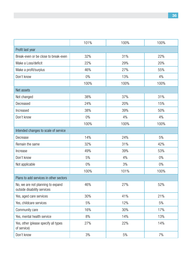|                                                                  | 101%       | 100% | 100%  |  |  |  |
|------------------------------------------------------------------|------------|------|-------|--|--|--|
| Profit last year                                                 |            |      |       |  |  |  |
| Break-even or be close to break-even                             | 32%        | 31%  | 22%   |  |  |  |
| Make a Loss/deficit                                              | 22%        | 29%  | 20%   |  |  |  |
| Make a profit/surplus                                            | 46%        | 27%  | 55%   |  |  |  |
| Don't know                                                       | $0\%$      | 13%  | 4%    |  |  |  |
|                                                                  | 100%       | 100% | 100%  |  |  |  |
| Net assets                                                       |            |      |       |  |  |  |
| Not changed                                                      | 38%        | 37%  | 31%   |  |  |  |
| Decreased                                                        | 24%        | 20%  | 15%   |  |  |  |
| Increased                                                        | 38%        | 39%  | 50%   |  |  |  |
| Don't know                                                       | $0\%$      | 4%   | 4%    |  |  |  |
|                                                                  | 100%       | 100% | 100%  |  |  |  |
| Intended changes to scale of service                             |            |      |       |  |  |  |
| Decrease                                                         | 14%        | 24%  | 5%    |  |  |  |
| Remain the same                                                  | 32%        | 31%  | 42%   |  |  |  |
| Increase                                                         | 49%<br>39% |      | 53%   |  |  |  |
| Don't know                                                       | 5%         | 4%   | $0\%$ |  |  |  |
| Not applicable                                                   | $0\%$      | 3%   | $0\%$ |  |  |  |
|                                                                  | 100%       | 101% | 100%  |  |  |  |
| Plans to add services in other sectors                           |            |      |       |  |  |  |
| No, we are not planning to expand<br>outside disability services | 46%        | 27%  | 52%   |  |  |  |
| Yes, aged care services                                          | 30%        | 41%  | 21%   |  |  |  |
| Yes, childcare services                                          | 5%         | 12%  | 5%    |  |  |  |
| Community care                                                   | 16%        | 30%  | 17%   |  |  |  |
| Yes, mental health service                                       | 8%         | 14%  | 13%   |  |  |  |
| Yes, other (please specify all types<br>of service)              | 27%        | 22%  | 14%   |  |  |  |
| Don't know                                                       | 3%         | 5%   | 7%    |  |  |  |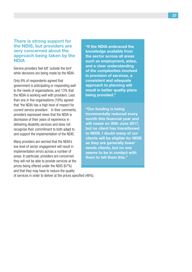#### **There is strong support for the NDIS, but providers are very concerned about the approach being taken by the NDIA**

Service providers feel left 'outside the tent' while decisions are being made by the NDIA.

Only 8% of respondents agreed that government is anticipating or responding well to the needs of organisations, and 13% that the NDIA is working well with providers. Less than one in five organisations (18%) agreed that 'the NDIA has a high level of respect for current service providers'. In their comments, providers expressed views that the NDIA is dismissive of their years of experience in delivering disability services and does not recognise their commitment to both adapt to and support the implementation of the NDIS.

Many providers are worried that the NDIA's low level of sector engagement will result in implementation errors across a number of areas. In particular, providers are concerned they will not be able to provide services at the prices being offered under the NDIS (67%) and that they may have to reduce the quality

of services in order to deliver at the prices specified (46%).

**"If the NDIA embraced the knowledge available from the sector across all areas such as employment, aides, and a clear understanding of the complexities involved in provision of services, a consistent and adequate approach to planning will result in better quality plans being provided."**

**"Our funding is being incrementally reduced every month this financial year and will cease on 30th June 2017, but no client has transitioned to NDIS. I doubt many of our clients will be eligible for NDIS as they are generally lower needs clients, but no one seems to be in contact with them to tell them this."**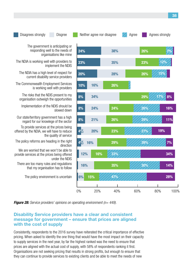Disagrees strongly Disgree Neither agree nor disagree Agree Agree Agrees strongly

The government is anticipating or responding well to the needs of organisations like mine

The NDIA is working well with providers to implement the NDIS

The NDIA has a high level of respect for current disability service providers

The Commonwealth Employment Services is working well with providers

The risks that the NDIS present to my organisation outweigh the opportunities

Implementation of the NDIS should be slowed down

Our state/territory government has a high regard for our knowlege of the sector

To provide services at the prices being offered by the NDIA, we will have to reduce the quality of service

The policy reforms are heading in the right direction

We are worried that we won't be able to provide services at the prices being offered under the NDIS

There are too many rules and regulations that my organisation has to follow

The policy environment is uncertain

**24% 23% 20% 10% 8% 8% 8% 4% 4% 38% 35% 28% 26% 24% 26% 23% 29% 33% 35% 47% 16% 34% 24% 21% 20% 12% 16% 16% 16% 6% 15% 26% 23% 26% 29% 26% 29% 27% 39% 30% 7% 12% 8% 16% 11% 7% 34% 14% 28% 15% 17% 19%**

0% 20% 40% 60% 80% 100%

*Figure 28: Service providers' opinions on operating environment (n= 449).* 

#### **Disability Service providers have a clear and consistent message for government – ensure that prices are aligned with the cost of supply**

Consistently, respondents to the 2016 survey have reiterated the critical importance of effective pricing. When asked to identify the one thing that would have the most impact on their capacity to supply services in the next year, by far the highest ranked was the need to ensure that prices are aligned with the actual cost of supply, with 58% of respondents ranking it first. Organisations are not seeking pricing that results in strong profits, but enough to ensure that they can continue to provide services to existing clients and be able to meet the needs of new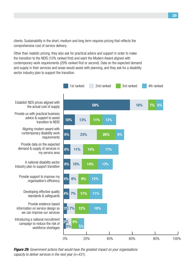clients. Sustainability in the short, medium and long term requires pricing that reflects the comprehensive cost of service delivery.

Other than realistic pricing, they also ask for practical advice and support in order to make the transition to the NDIS (10% ranked first) and want the Modern Award aligned with contemporary work requirements (29% ranked first or second). Data on the expected demand and supply in their services and areas would assist with planning, and they ask for a disability sector industry plan to support the transition.

![](_page_38_Figure_2.jpeg)

Establish NDS prices aligned with the actual cost of supply

Provide us with practical business advice & support to assist

> Aligning modern award with contemporary disability work

Provide data on the expected demand & supply of services in

A national disability sector Industry plan to support transition

Provide support to improve my organisation's efficiency

Developing effective quality standards & safeguards

Provide evidence based information on service design so we can improve our services

Introducing a national recruitment campaign to reduce the risk of

*Figure 29: Government actions that would have the greatest impact on your organisations capacity to deliver services in the next year (n=431).*